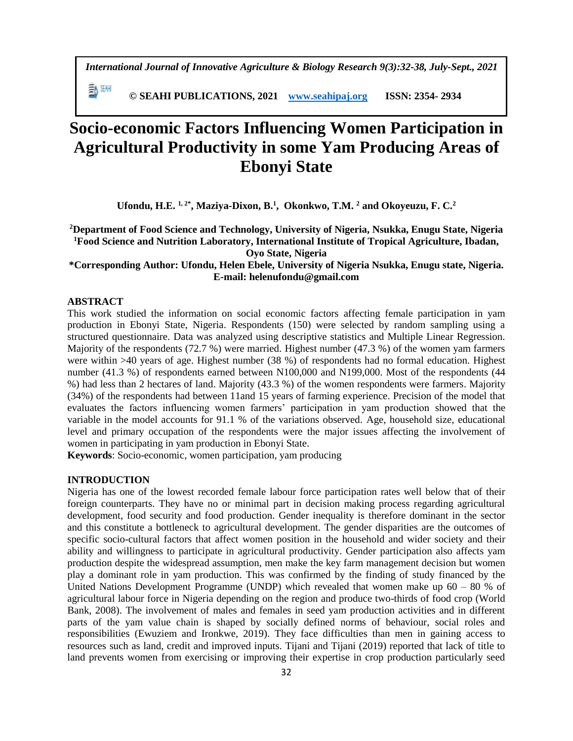*International Journal of Innovative Agriculture & Biology Research 9(3):32-38, July-Sept., 2021*

EN SEMI  **© SEAHI PUBLICATIONS, 2021 [www.seahipaj.org](http://www.seahipaj.org/) ISSN: 2354- 2934**

# **Socio-economic Factors Influencing Women Participation in Agricultural Productivity in some Yam Producing Areas of Ebonyi State**

**Ufondu, H.E. 1, 2\*, Maziya-Dixon, B.<sup>1</sup> , Okonkwo, T.M. <sup>2</sup> and Okoyeuzu, F. C.<sup>2</sup>**

**<sup>2</sup>Department of Food Science and Technology, University of Nigeria, Nsukka, Enugu State, Nigeria <sup>1</sup>Food Science and Nutrition Laboratory, International Institute of Tropical Agriculture, Ibadan, Oyo State, Nigeria**

## **\*Corresponding Author: Ufondu, Helen Ebele, University of Nigeria Nsukka, Enugu state, Nigeria. E-mail: helenufondu@gmail.com**

## **ABSTRACT**

This work studied the information on social economic factors affecting female participation in yam production in Ebonyi State, Nigeria. Respondents (150) were selected by random sampling using a structured questionnaire. Data was analyzed using descriptive statistics and Multiple Linear Regression. Majority of the respondents (72.7 %) were married. Highest number (47.3 %) of the women yam farmers were within >40 years of age. Highest number (38 %) of respondents had no formal education. Highest number (41.3 %) of respondents earned between N100,000 and N199,000. Most of the respondents (44 %) had less than 2 hectares of land. Majority (43.3 %) of the women respondents were farmers. Majority (34%) of the respondents had between 11and 15 years of farming experience. Precision of the model that evaluates the factors influencing women farmers' participation in yam production showed that the variable in the model accounts for 91.1 % of the variations observed. Age, household size, educational level and primary occupation of the respondents were the major issues affecting the involvement of women in participating in yam production in Ebonyi State.

**Keywords**: Socio-economic, women participation, yam producing

## **INTRODUCTION**

Nigeria has one of the lowest recorded female labour force participation rates well below that of their foreign counterparts. They have no or minimal part in decision making process regarding agricultural development, food security and food production. Gender inequality is therefore dominant in the sector and this constitute a bottleneck to agricultural development. The gender disparities are the outcomes of specific socio-cultural factors that affect women position in the household and wider society and their ability and willingness to participate in agricultural productivity. Gender participation also affects yam production despite the widespread assumption, men make the key farm management decision but women play a dominant role in yam production. This was confirmed by the finding of study financed by the United Nations Development Programme (UNDP) which revealed that women make up 60 – 80 % of agricultural labour force in Nigeria depending on the region and produce two-thirds of food crop (World Bank, 2008). The involvement of males and females in seed yam production activities and in different parts of the yam value chain is shaped by socially defined norms of behaviour, social roles and responsibilities (Ewuziem and Ironkwe, 2019). They face difficulties than men in gaining access to resources such as land, credit and improved inputs. Tijani and Tijani (2019) reported that lack of title to land prevents women from exercising or improving their expertise in crop production particularly seed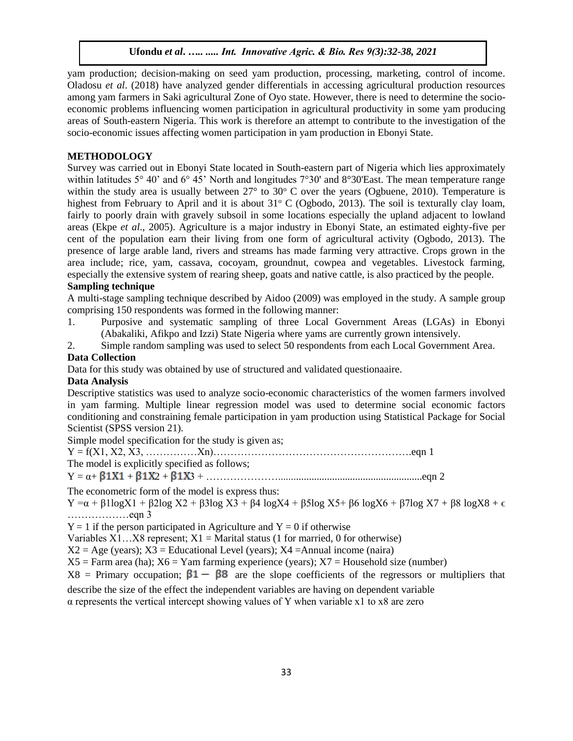yam production; decision-making on seed yam production, processing, marketing, control of income. Oladosu *et al*. (2018) have analyzed gender differentials in accessing agricultural production resources among yam farmers in Saki agricultural Zone of Oyo state. However, there is need to determine the socioeconomic problems influencing women participation in agricultural productivity in some yam producing areas of South-eastern Nigeria. This work is therefore an attempt to contribute to the investigation of the socio-economic issues affecting women participation in yam production in Ebonyi State.

### **METHODOLOGY**

Survey was carried out in Ebonyi State located in South-eastern part of Nigeria which lies approximately within latitudes 5° 40' and 6° 45' North and longitudes 7°30' and 8°30'East. The mean temperature range within the study area is usually between  $27^{\circ}$  to  $30^{\circ}$  C over the years (Ogbuene, 2010). Temperature is highest from February to April and it is about  $31^{\circ}$  C (Ogbodo, 2013). The soil is texturally clay loam, fairly to poorly drain with gravely subsoil in some locations especially the upland adjacent to lowland areas (Ekpe *et al*., 2005). Agriculture is a major industry in Ebonyi State, an estimated eighty-five per cent of the population earn their living from one form of agricultural activity (Ogbodo, 2013). The presence of large arable land, rivers and streams has made farming very attractive. Crops grown in the area include; rice, yam, cassava, cocoyam, groundnut, cowpea and vegetables. Livestock farming, especially the extensive system of rearing sheep, goats and native cattle, is also practiced by the people.

## **Sampling technique**

A multi-stage sampling technique described by Aidoo (2009) was employed in the study. A sample group comprising 150 respondents was formed in the following manner:

- 1. Purposive and systematic sampling of three Local Government Areas (LGAs) in Ebonyi (Abakaliki, Afikpo and Izzi) State Nigeria where yams are currently grown intensively.
- 2. Simple random sampling was used to select 50 respondents from each Local Government Area.

## **Data Collection**

Data for this study was obtained by use of structured and validated questionaaire.

# **Data Analysis**

Descriptive statistics was used to analyze socio-economic characteristics of the women farmers involved in yam farming. Multiple linear regression model was used to determine social economic factors conditioning and constraining female participation in yam production using Statistical Package for Social Scientist (SPSS version 21).

Simple model specification for the study is given as;

 $Y = f(X1, X2, X3, \ldots, Xn) \ldots, Xn$ 

The model is explicitly specified as follows;

Y = α+ + 2 + 3 + …………………........................................................eqn 2

The econometric form of the model is express thus:

Y =α + β1logX1 + β2log X2 + β3log X3 + β4 logX4 + β5log X5+ β6 logX6 + β7log X7 + β8 logX8 + ϵ ………………eqn 3

 $Y = 1$  if the person participated in Agriculture and  $Y = 0$  if otherwise

Variables  $X1...X8$  represent;  $X1 =$  Marital status (1 for married, 0 for otherwise)

 $X2 = Age$  (years);  $X3 = Educational Level$  (years);  $X4 = Annual income (naira)$ 

 $X5$  = Farm area (ha);  $X6$  = Yam farming experience (years);  $X7$  = Household size (number)

 $X8$  = Primary occupation;  $\beta1 - \beta8$  are the slope coefficients of the regressors or multipliers that

describe the size of the effect the independent variables are having on dependent variable

α represents the vertical intercept showing values of Y when variable x1 to x8 are zero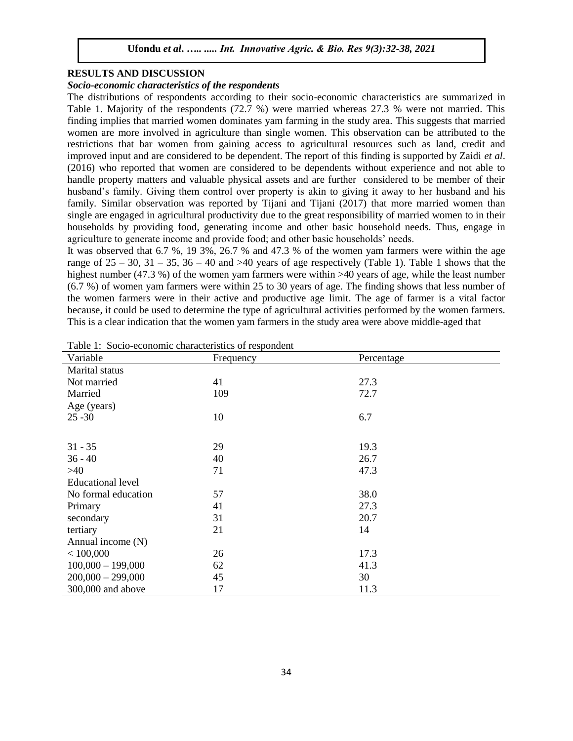## **RESULTS AND DISCUSSION**

#### *Socio-economic characteristics of the respondents*

The distributions of respondents according to their socio-economic characteristics are summarized in Table 1. Majority of the respondents (72.7 %) were married whereas 27.3 % were not married. This finding implies that married women dominates yam farming in the study area. This suggests that married women are more involved in agriculture than single women. This observation can be attributed to the restrictions that bar women from gaining access to agricultural resources such as land, credit and improved input and are considered to be dependent. The report of this finding is supported by Zaidi *et al*. (2016) who reported that women are considered to be dependents without experience and not able to handle property matters and valuable physical assets and are further considered to be member of their husband's family. Giving them control over property is akin to giving it away to her husband and his family. Similar observation was reported by Tijani and Tijani (2017) that more married women than single are engaged in agricultural productivity due to the great responsibility of married women to in their households by providing food, generating income and other basic household needs. Thus, engage in agriculture to generate income and provide food; and other basic households' needs.

It was observed that 6.7 %, 19 3%, 26.7 % and 47.3 % of the women yam farmers were within the age range of  $25 - 30$ ,  $31 - 35$ ,  $36 - 40$  and  $>40$  years of age respectively (Table 1). Table 1 shows that the highest number (47.3 %) of the women yam farmers were within >40 years of age, while the least number (6.7 %) of women yam farmers were within 25 to 30 years of age. The finding shows that less number of the women farmers were in their active and productive age limit. The age of farmer is a vital factor because, it could be used to determine the type of agricultural activities performed by the women farmers. This is a clear indication that the women yam farmers in the study area were above middle-aged that

| Variable                 | Frequency | Percentage |  |
|--------------------------|-----------|------------|--|
| Marital status           |           |            |  |
| Not married              | 41        | 27.3       |  |
| Married                  | 109       | 72.7       |  |
| Age (years)              |           |            |  |
| $25 - 30$                | 10        | 6.7        |  |
|                          |           |            |  |
| $31 - 35$                | 29        | 19.3       |  |
| $36 - 40$                | 40        | 26.7       |  |
| $>40$                    | 71        | 47.3       |  |
| <b>Educational level</b> |           |            |  |
| No formal education      | 57        | 38.0       |  |
| Primary                  | 41        | 27.3       |  |
| secondary                | 31        | 20.7       |  |
| tertiary                 | 21        | 14         |  |
| Annual income (N)        |           |            |  |
| < 100,000                | 26        | 17.3       |  |
| $100,000 - 199,000$      | 62        | 41.3       |  |
| $200,000 - 299,000$      | 45        | 30         |  |
| 300,000 and above        | 17        | 11.3       |  |

Table 1: Socio-economic characteristics of respondent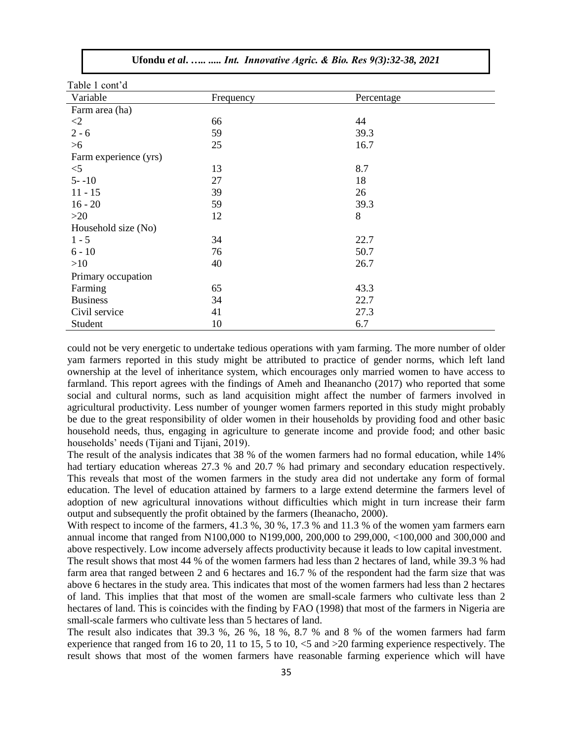| Table 1 cont'd        |           |            |
|-----------------------|-----------|------------|
| Variable              | Frequency | Percentage |
| Farm area (ha)        |           |            |
| $\leq$ 2              | 66        | 44         |
| $2 - 6$               | 59        | 39.3       |
| $>6$                  | 25        | 16.7       |
| Farm experience (yrs) |           |            |
| $<$ 5                 | 13        | 8.7        |
| $5 - -10$             | 27        | 18         |
| $11 - 15$             | 39        | 26         |
| $16 - 20$             | 59        | 39.3       |
| $>20$                 | 12        | 8          |
| Household size (No)   |           |            |
| $1 - 5$               | 34        | 22.7       |
| $6 - 10$              | 76        | 50.7       |
| >10                   | 40        | 26.7       |
| Primary occupation    |           |            |
| Farming               | 65        | 43.3       |
| <b>Business</b>       | 34        | 22.7       |
| Civil service         | 41        | 27.3       |
| Student               | 10        | 6.7        |

could not be very energetic to undertake tedious operations with yam farming. The more number of older yam farmers reported in this study might be attributed to practice of gender norms, which left land ownership at the level of inheritance system, which encourages only married women to have access to farmland. This report agrees with the findings of Ameh and Iheanancho (2017) who reported that some social and cultural norms, such as land acquisition might affect the number of farmers involved in agricultural productivity. Less number of younger women farmers reported in this study might probably be due to the great responsibility of older women in their households by providing food and other basic household needs, thus, engaging in agriculture to generate income and provide food; and other basic households' needs (Tijani and Tijani, 2019).

The result of the analysis indicates that 38 % of the women farmers had no formal education, while 14% had tertiary education whereas 27.3 % and 20.7 % had primary and secondary education respectively. This reveals that most of the women farmers in the study area did not undertake any form of formal education. The level of education attained by farmers to a large extend determine the farmers level of adoption of new agricultural innovations without difficulties which might in turn increase their farm output and subsequently the profit obtained by the farmers (Iheanacho, 2000).

With respect to income of the farmers, 41.3 %, 30 %, 17.3 % and 11.3 % of the women yam farmers earn annual income that ranged from N100,000 to N199,000, 200,000 to 299,000, <100,000 and 300,000 and above respectively. Low income adversely affects productivity because it leads to low capital investment.

The result shows that most 44 % of the women farmers had less than 2 hectares of land, while 39.3 % had farm area that ranged between 2 and 6 hectares and 16.7 % of the respondent had the farm size that was above 6 hectares in the study area. This indicates that most of the women farmers had less than 2 hectares of land. This implies that that most of the women are small-scale farmers who cultivate less than 2 hectares of land. This is coincides with the finding by FAO (1998) that most of the farmers in Nigeria are small-scale farmers who cultivate less than 5 hectares of land.

The result also indicates that 39.3 %, 26 %, 18 %, 8.7 % and 8 % of the women farmers had farm experience that ranged from 16 to 20, 11 to 15, 5 to 10, <5 and >20 farming experience respectively. The result shows that most of the women farmers have reasonable farming experience which will have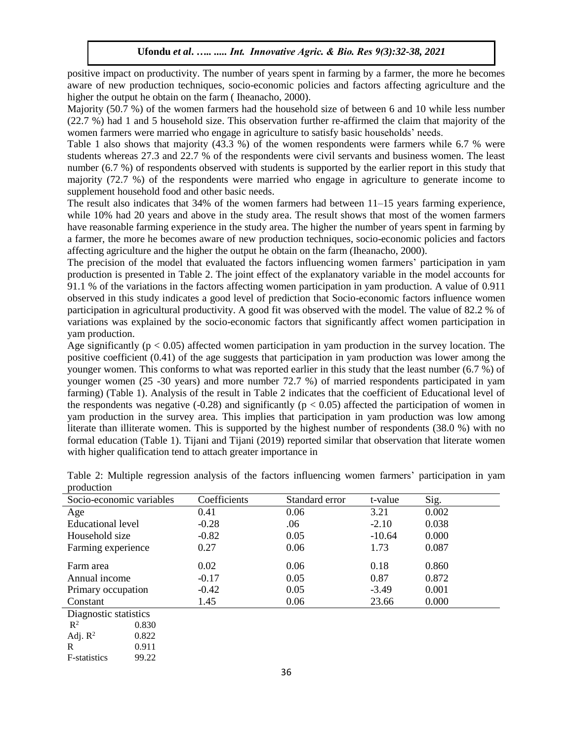positive impact on productivity. The number of years spent in farming by a farmer, the more he becomes aware of new production techniques, socio-economic policies and factors affecting agriculture and the higher the output he obtain on the farm ( Iheanacho, 2000).

Majority (50.7 %) of the women farmers had the household size of between 6 and 10 while less number (22.7 %) had 1 and 5 household size. This observation further re-affirmed the claim that majority of the women farmers were married who engage in agriculture to satisfy basic households' needs.

Table 1 also shows that majority (43.3 %) of the women respondents were farmers while 6.7 % were students whereas 27.3 and 22.7 % of the respondents were civil servants and business women. The least number (6.7 %) of respondents observed with students is supported by the earlier report in this study that majority (72.7 %) of the respondents were married who engage in agriculture to generate income to supplement household food and other basic needs.

The result also indicates that 34% of the women farmers had between 11–15 years farming experience, while 10% had 20 years and above in the study area. The result shows that most of the women farmers have reasonable farming experience in the study area. The higher the number of years spent in farming by a farmer, the more he becomes aware of new production techniques, socio-economic policies and factors affecting agriculture and the higher the output he obtain on the farm (Iheanacho, 2000).

The precision of the model that evaluated the factors influencing women farmers' participation in yam production is presented in Table 2. The joint effect of the explanatory variable in the model accounts for 91.1 % of the variations in the factors affecting women participation in yam production. A value of 0.911 observed in this study indicates a good level of prediction that Socio-economic factors influence women participation in agricultural productivity. A good fit was observed with the model. The value of 82.2 % of variations was explained by the socio-economic factors that significantly affect women participation in yam production.

Age significantly ( $p < 0.05$ ) affected women participation in yam production in the survey location. The positive coefficient (0.41) of the age suggests that participation in yam production was lower among the younger women. This conforms to what was reported earlier in this study that the least number (6.7 %) of younger women (25 -30 years) and more number 72.7 %) of married respondents participated in yam farming) (Table 1). Analysis of the result in Table 2 indicates that the coefficient of Educational level of the respondents was negative  $(-0.28)$  and significantly ( $p < 0.05$ ) affected the participation of women in yam production in the survey area. This implies that participation in yam production was low among literate than illiterate women. This is supported by the highest number of respondents (38.0 %) with no formal education (Table 1). Tijani and Tijani (2019) reported similar that observation that literate women with higher qualification tend to attach greater importance in

| Socio-economic variables |       | Coefficients | Standard error | t-value  | Sig.  |  |  |
|--------------------------|-------|--------------|----------------|----------|-------|--|--|
| Age                      |       | 0.41         | 0.06           | 3.21     | 0.002 |  |  |
| <b>Educational level</b> |       | $-0.28$      | .06            | $-2.10$  | 0.038 |  |  |
| Household size           |       | $-0.82$      | 0.05           | $-10.64$ | 0.000 |  |  |
| Farming experience       |       | 0.27         | 0.06           | 1.73     | 0.087 |  |  |
| Farm area                |       | 0.02         | 0.06           | 0.18     | 0.860 |  |  |
| Annual income            |       | $-0.17$      | 0.05           | 0.87     | 0.872 |  |  |
| Primary occupation       |       | $-0.42$      | 0.05           | $-3.49$  | 0.001 |  |  |
| Constant                 |       | 1.45         | 0.06           | 23.66    | 0.000 |  |  |
| Diagnostic statistics    |       |              |                |          |       |  |  |
| $\mathbb{R}^2$           | 0.830 |              |                |          |       |  |  |
| Adj. $R^2$               | 0.822 |              |                |          |       |  |  |
| R                        | 0.911 |              |                |          |       |  |  |
| <b>F</b> -statistics     | 99.22 |              |                |          |       |  |  |

Table 2: Multiple regression analysis of the factors influencing women farmers' participation in yam production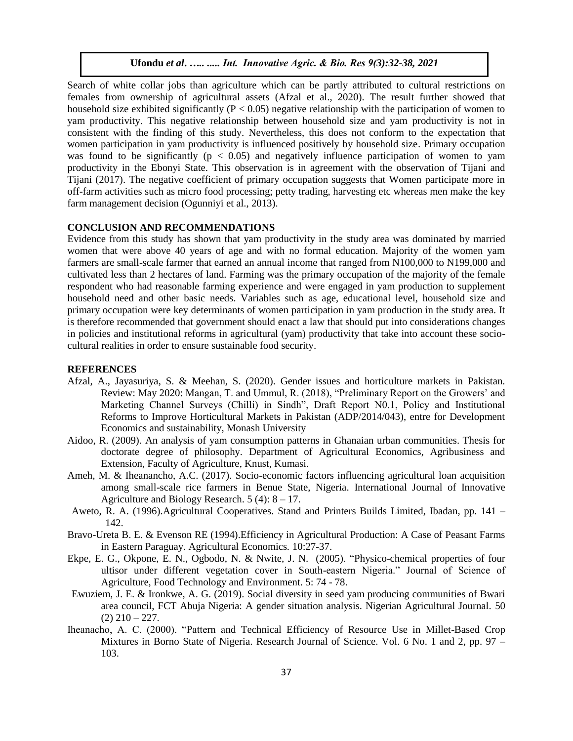Search of white collar jobs than agriculture which can be partly attributed to cultural restrictions on females from ownership of agricultural assets (Afzal et al., 2020). The result further showed that household size exhibited significantly ( $P < 0.05$ ) negative relationship with the participation of women to yam productivity. This negative relationship between household size and yam productivity is not in consistent with the finding of this study. Nevertheless, this does not conform to the expectation that women participation in yam productivity is influenced positively by household size. Primary occupation was found to be significantly ( $p < 0.05$ ) and negatively influence participation of women to yam productivity in the Ebonyi State. This observation is in agreement with the observation of Tijani and Tijani (2017). The negative coefficient of primary occupation suggests that Women participate more in off-farm activities such as micro food processing; petty trading, harvesting etc whereas men make the key farm management decision (Ogunniyi et al., 2013).

#### **CONCLUSION AND RECOMMENDATIONS**

Evidence from this study has shown that yam productivity in the study area was dominated by married women that were above 40 years of age and with no formal education. Majority of the women yam farmers are small-scale farmer that earned an annual income that ranged from N100,000 to N199,000 and cultivated less than 2 hectares of land. Farming was the primary occupation of the majority of the female respondent who had reasonable farming experience and were engaged in yam production to supplement household need and other basic needs. Variables such as age, educational level, household size and primary occupation were key determinants of women participation in yam production in the study area. It is therefore recommended that government should enact a law that should put into considerations changes in policies and institutional reforms in agricultural (yam) productivity that take into account these sociocultural realities in order to ensure sustainable food security.

#### **REFERENCES**

- Afzal, A., Jayasuriya, S. & Meehan, S. (2020). Gender issues and horticulture markets in Pakistan. Review: May 2020: Mangan, T. and Ummul, R. (2018), "Preliminary Report on the Growers' and Marketing Channel Surveys (Chilli) in Sindh", Draft Report N0.1, Policy and Institutional Reforms to Improve Horticultural Markets in Pakistan (ADP/2014/043), entre for Development Economics and sustainability, Monash University
- Aidoo, R. (2009). An analysis of yam consumption patterns in Ghanaian urban communities. Thesis for doctorate degree of philosophy. Department of Agricultural Economics, Agribusiness and Extension, Faculty of Agriculture, Knust, Kumasi.
- Ameh, M. & Iheanancho, A.C. (2017). Socio-economic factors influencing agricultural loan acquisition among small-scale rice farmers in Benue State, Nigeria. International Journal of Innovative Agriculture and Biology Research.  $5(4)$ :  $8 - 17$ .
- Aweto, R. A. (1996).Agricultural Cooperatives. Stand and Printers Builds Limited, Ibadan, pp. 141 142.
- Bravo-Ureta B. E. & Evenson RE (1994).Efficiency in Agricultural Production: A Case of Peasant Farms in Eastern Paraguay. Agricultural Economics*.* 10:27-37.
- Ekpe, E. G., Okpone, E. N., Ogbodo, N. & Nwite, J. N. (2005). "Physico-chemical properties of four ultisor under different vegetation cover in South-eastern Nigeria." Journal of Science of Agriculture, Food Technology and Environment. 5: 74 - 78.
- Ewuziem, J. E. & Ironkwe, A. G. (2019). Social diversity in seed yam producing communities of Bwari area council, FCT Abuja Nigeria: A gender situation analysis. Nigerian Agricultural Journal. 50  $(2)$  210 – 227.
- Iheanacho, A. C. (2000). "Pattern and Technical Efficiency of Resource Use in Millet-Based Crop Mixtures in Borno State of Nigeria. Research Journal of Science. Vol. 6 No. 1 and 2, pp. 97 – 103.